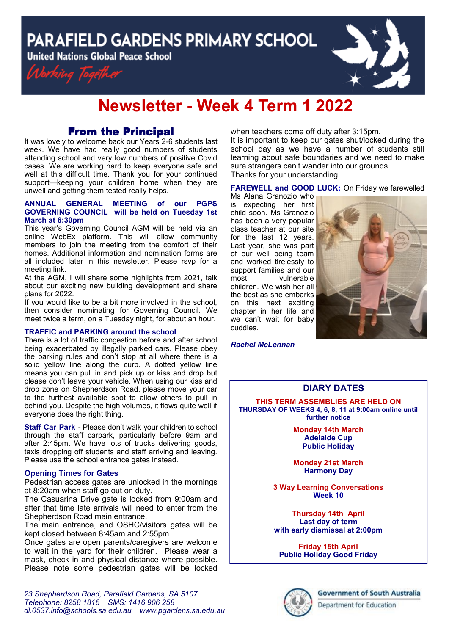**PARAFIELD GARDENS PRIMARY SCHOOL** 

**United Nations Global Peace School** 





# **Newsletter - Week 4 Term 1 2022**

## From the Principal

It was lovely to welcome back our Years 2-6 students last week. We have had really good numbers of students attending school and very low numbers of positive Covid cases. We are working hard to keep everyone safe and well at this difficult time. Thank you for your continued support-keeping your children home when they are unwell and getting them tested really helps.

#### **ANNUAL GENERAL MEETING of our PGPS GOVERNING COUNCIL will be held on Tuesday 1st March at 6:30pm**

This year's Governing Council AGM will be held via an online WebEx platform. This will allow community members to join the meeting from the comfort of their homes. Additional information and nomination forms are all included later in this newsletter. Please rsvp for a meeting link.

At the AGM, I will share some highlights from 2021, talk about our exciting new building development and share plans for 2022.

If you would like to be a bit more involved in the school, then consider nominating for Governing Council. We meet twice a term, on a Tuesday night, for about an hour.

#### **TRAFFIC and PARKING around the school**

There is a lot of traffic congestion before and after school being exacerbated by illegally parked cars. Please obey the parking rules and don't stop at all where there is a solid yellow line along the curb. A dotted yellow line means you can pull in and pick up or kiss and drop but please don't leave your vehicle. When using our kiss and drop zone on Shepherdson Road, please move your car to the furthest available spot to allow others to pull in behind you. Despite the high volumes, it flows quite well if everyone does the right thing.

**Staff Car Park** - Please don't walk your children to school through the staff carpark, particularly before 9am and after 2:45pm. We have lots of trucks delivering goods, taxis dropping off students and staff arriving and leaving. Please use the school entrance gates instead.

#### **Opening Times for Gates**

Pedestrian access gates are unlocked in the mornings at 8:20am when staff go out on duty.

The Casuarina Drive gate is locked from 9:00am and after that time late arrivals will need to enter from the Shepherdson Road main entrance.

The main entrance, and OSHC/visitors gates will be kept closed between 8:45am and 2:55pm.

Once gates are open parents/caregivers are welcome to wait in the yard for their children. Please wear a mask, check in and physical distance where possible. Please note some pedestrian gates will be locked when teachers come off duty after 3:15pm.

It is important to keep our gates shut/locked during the school day as we have a number of students still learning about safe boundaries and we need to make sure strangers can't wander into our grounds. Thanks for your understanding.

#### **FAREWELL and GOOD LUCK:** On Friday we farewelled

Ms Alana Granozio who is expecting her first child soon. Ms Granozio has been a very popular class teacher at our site for the last 12 years. Last year, she was part of our well being team and worked tirelessly to support families and our most vulnerable children. We wish her all the best as she embarks on this next exciting chapter in her life and we can't wait for baby cuddles.



#### *Rachel McLennan*

### **DIARY DATES**

**THIS TERM ASSEMBLIES ARE HELD ON THURSDAY OF WEEKS 4, 6, 8, 11 at 9:00am online until further notice**

> **Monday 14th March Adelaide Cup Public Holiday**

> **Monday 21st March Harmony Day**

**3 Way Learning Conversations Week 10** 

**Thursday 14th April Last day of term with early dismissal at 2:00pm**

**Friday 15th April Public Holiday Good Friday**

Department for Education

*23 Shepherdson Road, Parafield Gardens, SA 5107 Telephone: 8258 1816 [SMS:](http://www.youtube.com/user/ParafieldGR7) 1416 906 258 dl[.0537.info@schools.sa.edu.au](mailto:dl.0537_info@schools.sa.edu.au) www.pgardens.sa.edu.au*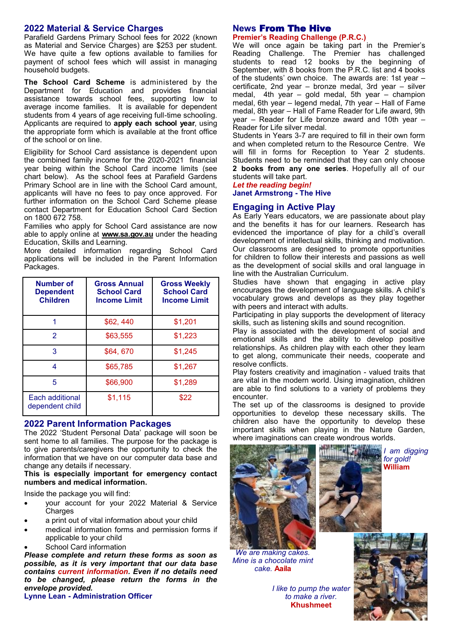#### **2022 Material & Service Charges**

Parafield Gardens Primary School fees for 2022 (known as Material and Service Charges) are \$253 per student. We have quite a few options available to families for payment of school fees which will assist in managing household budgets.

**The School Card Scheme** is administered by the Department for Education and provides financial assistance towards school fees, supporting low to average income families. It is available for dependent students from 4 years of age receiving full-time schooling. Applicants are required to **apply each school year**, using the appropriate form which is available at the front office of the school or on line.

Eligibility for School Card assistance is dependent upon the combined family income for the 2020-2021 financial year being within the School Card income limits (see chart below). As the school fees at Parafield Gardens Primary School are in line with the School Card amount, applicants will have no fees to pay once approved. For further information on the School Card Scheme please contact Department for Education School Card Section on 1800 672 758.

Families who apply for School Card assistance are now able to apply online at **www.sa.gov.au** under the heading Education, Skills and Learning.

More detailed information regarding School Card applications will be included in the Parent Information Packages.

| <b>Number of</b><br><b>Dependent</b><br><b>Children</b> | <b>Gross Annual</b><br><b>School Card</b><br><b>Income Limit</b> | <b>Gross Weekly</b><br><b>School Card</b><br><b>Income Limit</b> |
|---------------------------------------------------------|------------------------------------------------------------------|------------------------------------------------------------------|
|                                                         | \$62,440                                                         | \$1,201                                                          |
| $\mathcal{P}$                                           | \$63,555                                                         | \$1,223                                                          |
| 3                                                       | \$64,670                                                         | \$1,245                                                          |
| 4                                                       | \$65,785                                                         | \$1,267                                                          |
| 5                                                       | \$66,900                                                         | \$1,289                                                          |
| Each additional<br>dependent child                      | \$1,115                                                          | \$22                                                             |

#### **2022 Parent Information Packages**

The 2022 'Student Personal Data' package will soon be sent home to all families. The purpose for the package is to give parents/caregivers the opportunity to check the information that we have on our computer data base and change any details if necessary.

**This is especially important for emergency contact numbers and medical information.** 

Inside the package you will find:

- your account for your 2022 Material & Service **Charges**
- a print out of vital information about your child
- medical information forms and permission forms if applicable to your child
- School Card information

*Please complete and return these forms as soon as possible, as it is very important that our data base contains current information. Even if no details need to be changed, please return the forms in the envelope provided.*

**Lynne Lean - Administration Officer**

#### **News** From The Hive **Premier's Reading Challenge (P.R.C.)**

We will once again be taking part in the Premier's Reading Challenge. The Premier has challenged students to read 12 books by the beginning of September, with 8 books from the P.R.C. list and 4 books of the students' own choice. The awards are: 1st year – certificate, 2nd year – bronze medal, 3rd year – silver medal, 4th year – gold medal, 5th year – champion medal, 6th year – legend medal, 7th year – Hall of Fame medal, 8th year – Hall of Fame Reader for Life award, 9th year – Reader for Life bronze award and 10th year – Reader for Life silver medal.

Students in Years 3-7 are required to fill in their own form and when completed return to the Resource Centre. We will fill in forms for Reception to Year 2 students. Students need to be reminded that they can only choose **2 books from any one series**. Hopefully all of our students will take part.

*Let the reading begin!*

# **Janet Armstrong - The Hive**

#### **Engaging in Active Play**

As Early Years educators, we are passionate about play and the benefits it has for our learners. Research has evidenced the importance of play for a child's overall development of intellectual skills, thinking and motivation. Our classrooms are designed to promote opportunities for children to follow their interests and passions as well as the development of social skills and oral language in line with the Australian Curriculum.

Studies have shown that engaging in active play encourages the development of language skills. A child's vocabulary grows and develops as they play together with peers and interact with adults.

Participating in play supports the development of literacy skills, such as listening skills and sound recognition.

Play is associated with the development of social and emotional skills and the ability to develop positive relationships. As children play with each other they learn to get along, communicate their needs, cooperate and resolve conflicts.

Play fosters creativity and imagination - valued traits that are vital in the modern world. Using imagination, children are able to find solutions to a variety of problems they encounter.

The set up of the classrooms is designed to provide opportunities to develop these necessary skills. The children also have the opportunity to develop these important skills when playing in the Nature Garden, where imaginations can create wondrous worlds.





*We are making cakes. Mine is a chocolate mint cake.* **Aaila** 

*I like to pump the water to make a river.* **Khushmeet** 

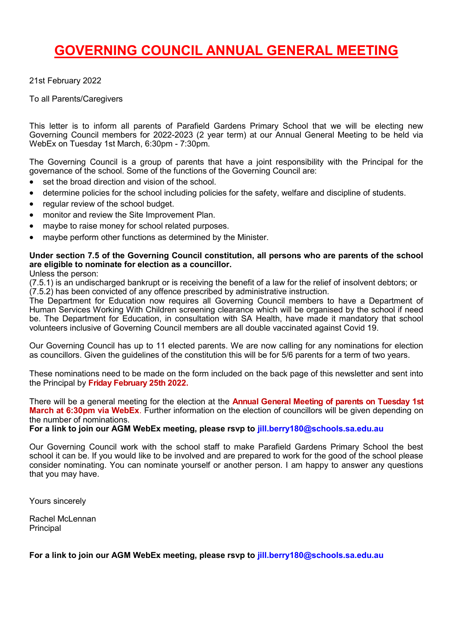# **GOVERNING COUNCIL ANNUAL GENERAL MEETING**

21st February 2022

To all Parents/Caregivers

This letter is to inform all parents of Parafield Gardens Primary School that we will be electing new Governing Council members for 2022-2023 (2 year term) at our Annual General Meeting to be held via WebEx on Tuesday 1st March, 6:30pm - 7:30pm.

The Governing Council is a group of parents that have a joint responsibility with the Principal for the governance of the school. Some of the functions of the Governing Council are:

- set the broad direction and vision of the school.
- determine policies for the school including policies for the safety, welfare and discipline of students.
- regular review of the school budget.
- monitor and review the Site Improvement Plan.
- maybe to raise money for school related purposes.
- maybe perform other functions as determined by the Minister.

### **Under section 7.5 of the Governing Council constitution, all persons who are parents of the school are eligible to nominate for election as a councillor.**

Unless the person:

(7.5.1) is an undischarged bankrupt or is receiving the benefit of a law for the relief of insolvent debtors; or (7.5.2) has been convicted of any offence prescribed by administrative instruction.

The Department for Education now requires all Governing Council members to have a Department of Human Services Working With Children screening clearance which will be organised by the school if need be. The Department for Education, in consultation with SA Health, have made it mandatory that school volunteers inclusive of Governing Council members are all double vaccinated against Covid 19.

Our Governing Council has up to 11 elected parents. We are now calling for any nominations for election as councillors. Given the guidelines of the constitution this will be for 5/6 parents for a term of two years.

These nominations need to be made on the form included on the back page of this newsletter and sent into the Principal by **Friday February 25th 2022.**

There will be a general meeting for the election at the **Annual General Meeting of parents on Tuesday 1st March at 6:30pm via WebEx**. Further information on the election of councillors will be given depending on the number of nominations.

**For a link to join our AGM WebEx meeting, please rsvp to jill.berry180@schools.sa.edu.au** 

Our Governing Council work with the school staff to make Parafield Gardens Primary School the best school it can be. If you would like to be involved and are prepared to work for the good of the school please consider nominating. You can nominate yourself or another person. I am happy to answer any questions that you may have.

Yours sincerely

Rachel McLennan **Principal** 

**For a link to join our AGM WebEx meeting, please rsvp to jill.berry180@schools.sa.edu.au**